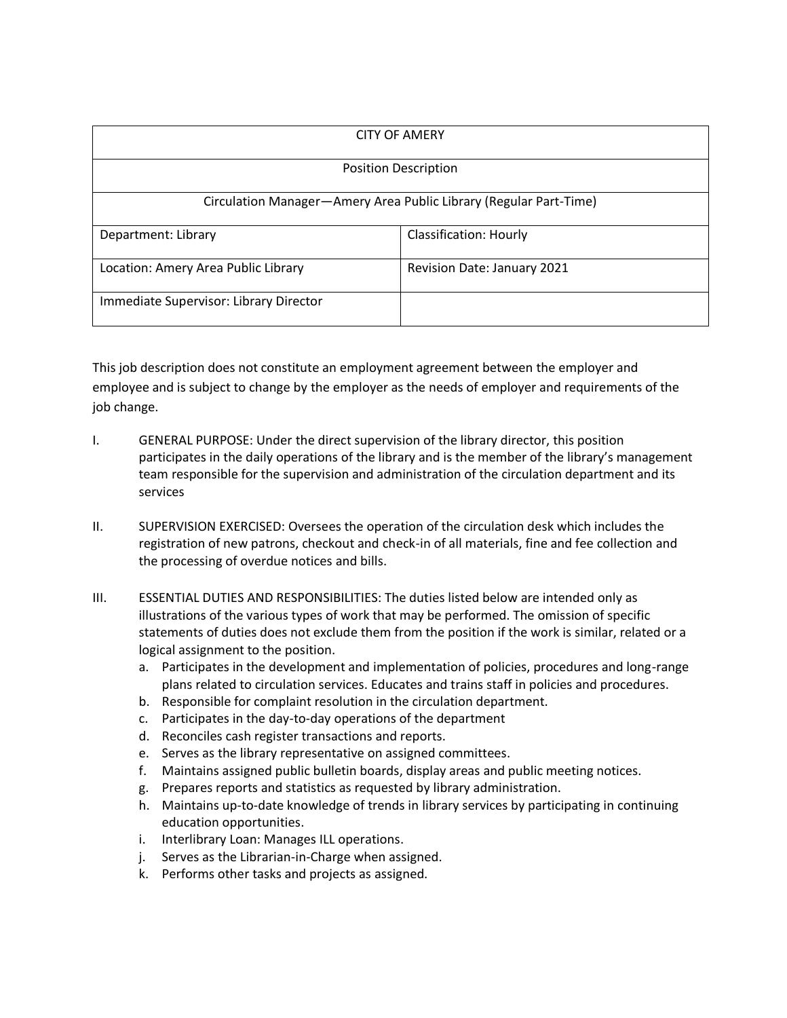| <b>CITY OF AMERY</b>                                              |                               |
|-------------------------------------------------------------------|-------------------------------|
| <b>Position Description</b>                                       |                               |
| Circulation Manager-Amery Area Public Library (Regular Part-Time) |                               |
| Department: Library                                               | <b>Classification: Hourly</b> |
| Location: Amery Area Public Library                               | Revision Date: January 2021   |
| Immediate Supervisor: Library Director                            |                               |

This job description does not constitute an employment agreement between the employer and employee and is subject to change by the employer as the needs of employer and requirements of the job change.

- I. GENERAL PURPOSE: Under the direct supervision of the library director, this position participates in the daily operations of the library and is the member of the library's management team responsible for the supervision and administration of the circulation department and its services
- II. SUPERVISION EXERCISED: Oversees the operation of the circulation desk which includes the registration of new patrons, checkout and check-in of all materials, fine and fee collection and the processing of overdue notices and bills.
- III. ESSENTIAL DUTIES AND RESPONSIBILITIES: The duties listed below are intended only as illustrations of the various types of work that may be performed. The omission of specific statements of duties does not exclude them from the position if the work is similar, related or a logical assignment to the position.
	- a. Participates in the development and implementation of policies, procedures and long-range plans related to circulation services. Educates and trains staff in policies and procedures.
	- b. Responsible for complaint resolution in the circulation department.
	- c. Participates in the day-to-day operations of the department
	- d. Reconciles cash register transactions and reports.
	- e. Serves as the library representative on assigned committees.
	- f. Maintains assigned public bulletin boards, display areas and public meeting notices.
	- g. Prepares reports and statistics as requested by library administration.
	- h. Maintains up-to-date knowledge of trends in library services by participating in continuing education opportunities.
	- i. Interlibrary Loan: Manages ILL operations.
	- j. Serves as the Librarian-in-Charge when assigned.
	- k. Performs other tasks and projects as assigned.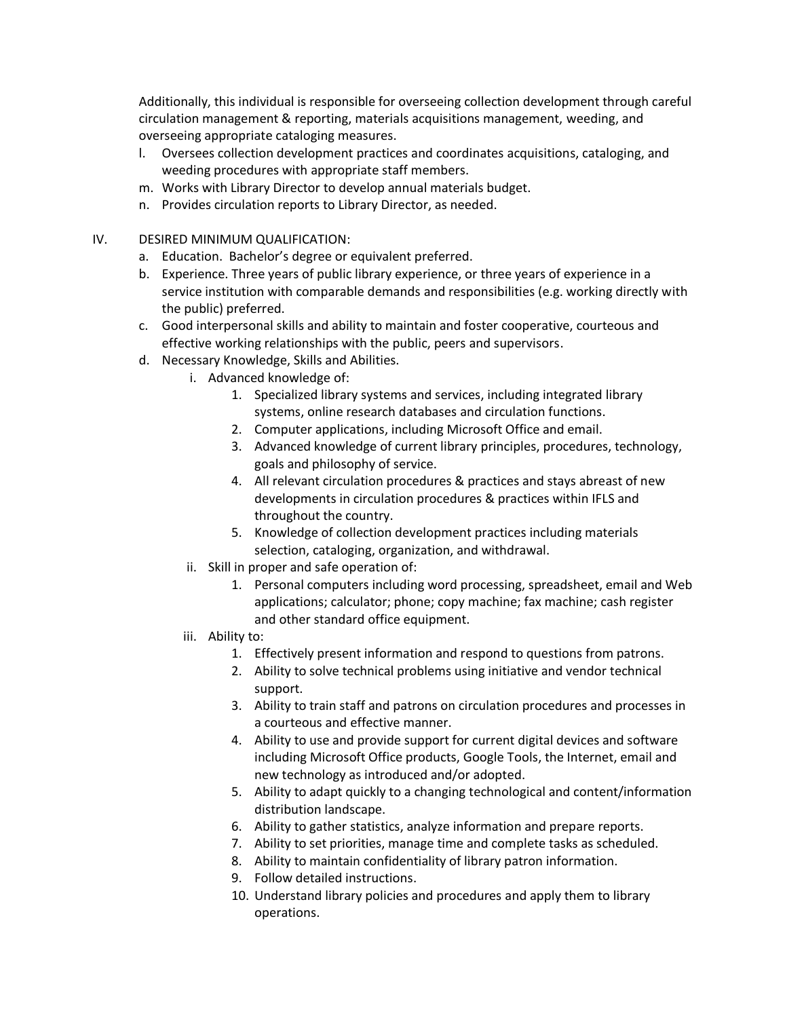Additionally, this individual is responsible for overseeing collection development through careful circulation management & reporting, materials acquisitions management, weeding, and overseeing appropriate cataloging measures.

- l. Oversees collection development practices and coordinates acquisitions, cataloging, and weeding procedures with appropriate staff members.
- m. Works with Library Director to develop annual materials budget.
- n. Provides circulation reports to Library Director, as needed.
- IV. DESIRED MINIMUM QUALIFICATION:
	- a. Education. Bachelor's degree or equivalent preferred.
	- b. Experience. Three years of public library experience, or three years of experience in a service institution with comparable demands and responsibilities (e.g. working directly with the public) preferred.
	- c. Good interpersonal skills and ability to maintain and foster cooperative, courteous and effective working relationships with the public, peers and supervisors.
	- d. Necessary Knowledge, Skills and Abilities.
		- i. Advanced knowledge of:
			- 1. Specialized library systems and services, including integrated library systems, online research databases and circulation functions.
			- 2. Computer applications, including Microsoft Office and email.
			- 3. Advanced knowledge of current library principles, procedures, technology, goals and philosophy of service.
			- 4. All relevant circulation procedures & practices and stays abreast of new developments in circulation procedures & practices within IFLS and throughout the country.
			- 5. Knowledge of collection development practices including materials selection, cataloging, organization, and withdrawal.
			- ii. Skill in proper and safe operation of:
				- 1. Personal computers including word processing, spreadsheet, email and Web applications; calculator; phone; copy machine; fax machine; cash register and other standard office equipment.
			- iii. Ability to:
				- 1. Effectively present information and respond to questions from patrons.
				- 2. Ability to solve technical problems using initiative and vendor technical support.
				- 3. Ability to train staff and patrons on circulation procedures and processes in a courteous and effective manner.
				- 4. Ability to use and provide support for current digital devices and software including Microsoft Office products, Google Tools, the Internet, email and new technology as introduced and/or adopted.
				- 5. Ability to adapt quickly to a changing technological and content/information distribution landscape.
				- 6. Ability to gather statistics, analyze information and prepare reports.
				- 7. Ability to set priorities, manage time and complete tasks as scheduled.
				- 8. Ability to maintain confidentiality of library patron information.
				- 9. Follow detailed instructions.
				- 10. Understand library policies and procedures and apply them to library operations.